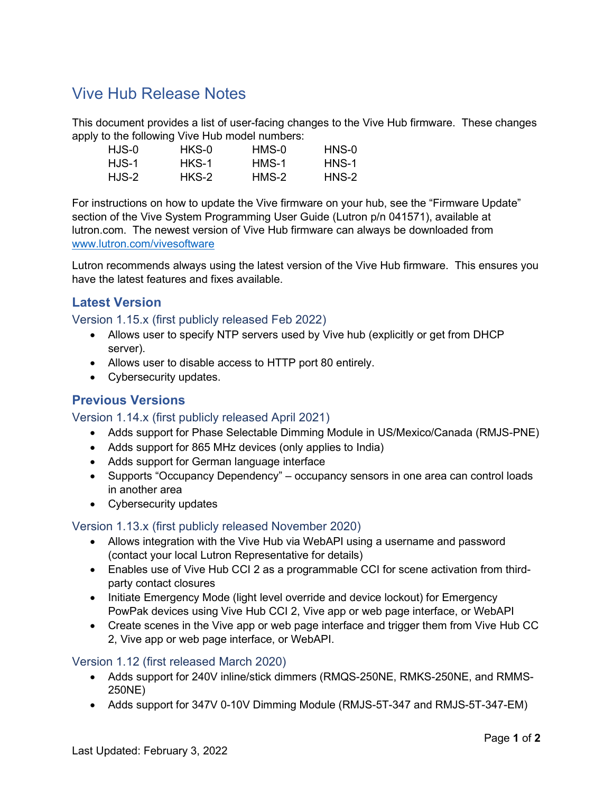# Vive Hub Release Notes

This document provides a list of user-facing changes to the Vive Hub firmware. These changes apply to the following Vive Hub model numbers:

| HJS-0    | HKS-0 | HMS-0 | HNS-0 |
|----------|-------|-------|-------|
| $H1$ S-1 | HKS-1 | HMS-1 | HNS-1 |
| HJS-2    | HKS-2 | HMS-2 | HNS-2 |

For instructions on how to update the Vive firmware on your hub, see the "Firmware Update" section of the Vive System Programming User Guide (Lutron p/n 041571), available at lutron.com. The newest version of Vive Hub firmware can always be downloaded from www.lutron.com/vivesoftware

Lutron recommends always using the latest version of the Vive Hub firmware. This ensures you have the latest features and fixes available.

# Latest Version

Version 1.15.x (first publicly released Feb 2022)

- Allows user to specify NTP servers used by Vive hub (explicitly or get from DHCP server).
- Allows user to disable access to HTTP port 80 entirely.
- Cybersecurity updates.

## Previous Versions

#### Version 1.14.x (first publicly released April 2021)

- Adds support for Phase Selectable Dimming Module in US/Mexico/Canada (RMJS-PNE)
- Adds support for 865 MHz devices (only applies to India)
- Adds support for German language interface
- Supports "Occupancy Dependency" occupancy sensors in one area can control loads in another area
- Cybersecurity updates

## Version 1.13.x (first publicly released November 2020)

- Allows integration with the Vive Hub via WebAPI using a username and password (contact your local Lutron Representative for details)
- Enables use of Vive Hub CCI 2 as a programmable CCI for scene activation from thirdparty contact closures
- Initiate Emergency Mode (light level override and device lockout) for Emergency PowPak devices using Vive Hub CCI 2, Vive app or web page interface, or WebAPI
- Create scenes in the Vive app or web page interface and trigger them from Vive Hub CC 2, Vive app or web page interface, or WebAPI.

## Version 1.12 (first released March 2020)

- Adds support for 240V inline/stick dimmers (RMQS-250NE, RMKS-250NE, and RMMS-250NE)
- Adds support for 347V 0-10V Dimming Module (RMJS-5T-347 and RMJS-5T-347-EM)